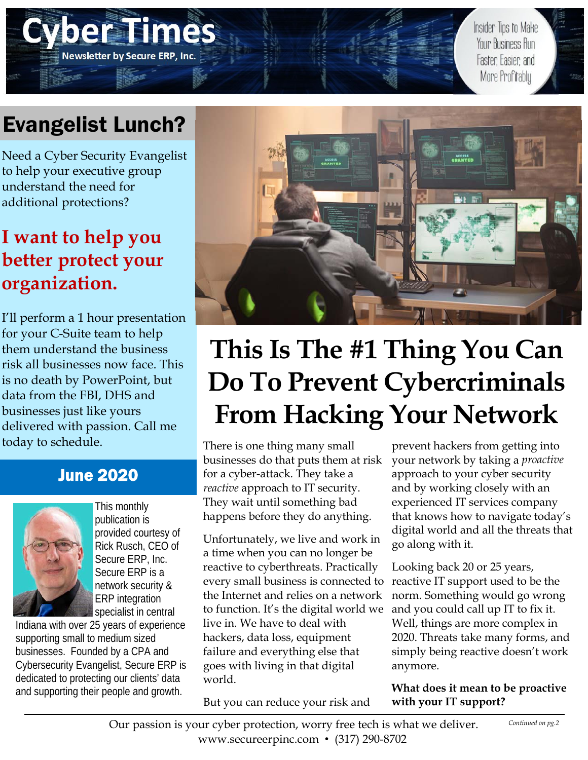

Insider Tips to Make **Your Business Run** Faster: Easier: and More Profitably

# Evangelist Lunch?

Need a Cyber Security Evangelist to help your executive group understand the need for additional protections?

## **I want to help you better protect your organization.**

I'll perform a 1 hour presentation for your C-Suite team to help them understand the business risk all businesses now face. This is no death by PowerPoint, but data from the FBI, DHS and businesses just like yours delivered with passion. Call me today to schedule.

## June 2020



This monthly publication is provided courtesy of Rick Rusch, CEO of Secure ERP, Inc. Secure ERP is a network security & ERP integration specialist in central

Indiana with over 25 years of experience supporting small to medium sized businesses. Founded by a CPA and Cybersecurity Evangelist, Secure ERP is dedicated to protecting our clients' data and supporting their people and growth.



# **This Is The #1 Thing You Can Do To Prevent Cybercriminals From Hacking Your Network**

There is one thing many small businesses do that puts them at risk for a cyber-attack. They take a *reactive* approach to IT security. They wait until something bad happens before they do anything.

Unfortunately, we live and work in a time when you can no longer be reactive to cyberthreats. Practically every small business is connected to the Internet and relies on a network to function. It's the digital world we live in. We have to deal with hackers, data loss, equipment failure and everything else that goes with living in that digital world.

But you can reduce your risk and

prevent hackers from getting into your network by taking a *proactive* approach to your cyber security and by working closely with an experienced IT services company that knows how to navigate today's digital world and all the threats that go along with it.

Looking back 20 or 25 years, reactive IT support used to be the norm. Something would go wrong and you could call up IT to fix it. Well, things are more complex in 2020. Threats take many forms, and simply being reactive doesn't work anymore.

### **What does it mean to be proactive with your IT support?**

Our passion is your cyber protection, worry free tech is what we deliver. www.secureerpinc.com • (317) 290-8702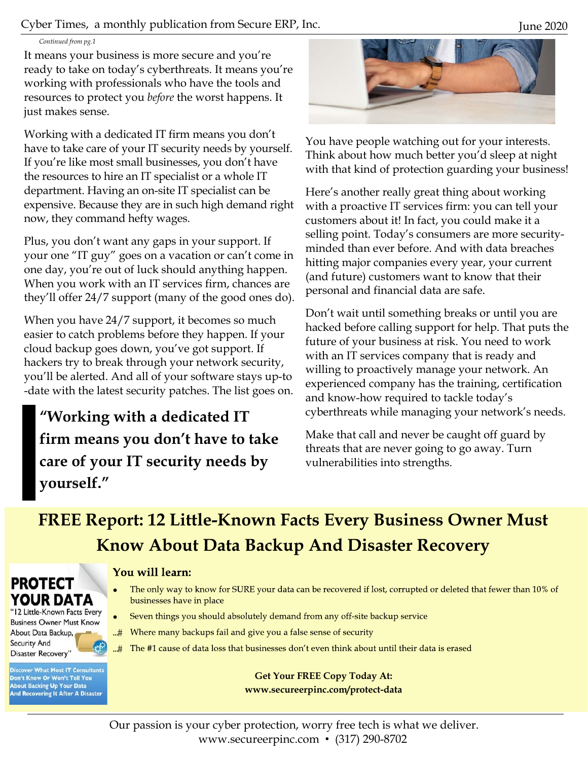### Cyber Times, a monthly publication from Secure ERP, Inc. June 2020

*Continued from pg.1* 

It means your business is more secure and you're ready to take on today's cyberthreats. It means you're working with professionals who have the tools and resources to protect you *before* the worst happens. It just makes sense.

Working with a dedicated IT firm means you don't have to take care of your IT security needs by yourself. If you're like most small businesses, you don't have the resources to hire an IT specialist or a whole IT department. Having an on-site IT specialist can be expensive. Because they are in such high demand right now, they command hefty wages.

Plus, you don't want any gaps in your support. If your one "IT guy" goes on a vacation or can't come in one day, you're out of luck should anything happen. When you work with an IT services firm, chances are they'll offer 24/7 support (many of the good ones do).

When you have 24/7 support, it becomes so much easier to catch problems before they happen. If your cloud backup goes down, you've got support. If hackers try to break through your network security, you'll be alerted. And all of your software stays up-to -date with the latest security patches. The list goes on.

**"Working with a dedicated IT firm means you don't have to take care of your IT security needs by yourself."** 



You have people watching out for your interests. Think about how much better you'd sleep at night with that kind of protection guarding your business!

Here's another really great thing about working with a proactive IT services firm: you can tell your customers about it! In fact, you could make it a selling point. Today's consumers are more securityminded than ever before. And with data breaches hitting major companies every year, your current (and future) customers want to know that their personal and financial data are safe.

Don't wait until something breaks or until you are hacked before calling support for help. That puts the future of your business at risk. You need to work with an IT services company that is ready and willing to proactively manage your network. An experienced company has the training, certification and know-how required to tackle today's cyberthreats while managing your network's needs.

Make that call and never be caught off guard by threats that are never going to go away. Turn vulnerabilities into strengths.

## **FREE Report: 12 Little-Known Facts Every Business Owner Must Know About Data Backup And Disaster Recovery**

### You will learn:

- The only way to know for SURE your data can be recovered if lost, corrupted or deleted that fewer than 10% of businesses have in place
- Seven things you should absolutely demand from any off-site backup service  $\bullet$
- Where many backups fail and give you a false sense of security ..#
- The #1 cause of data loss that businesses don't even think about until their data is erased …#

### **Get Your FREE Copy Today At: www.secureerpinc.com/protect-data**

Our passion is your cyber protection, worry free tech is what we deliver. www.secureerpinc.com • (317) 290-8702

'12 Little-Known Facts Every **Business Owner Must Know** About Data Backup, **Security And** Disaster Recovery'

Discover What Most IT Consultants<br>Don't Know Or Won't Tell You<br>About Backing Up Your Data<br>And Recovering It After A Disaster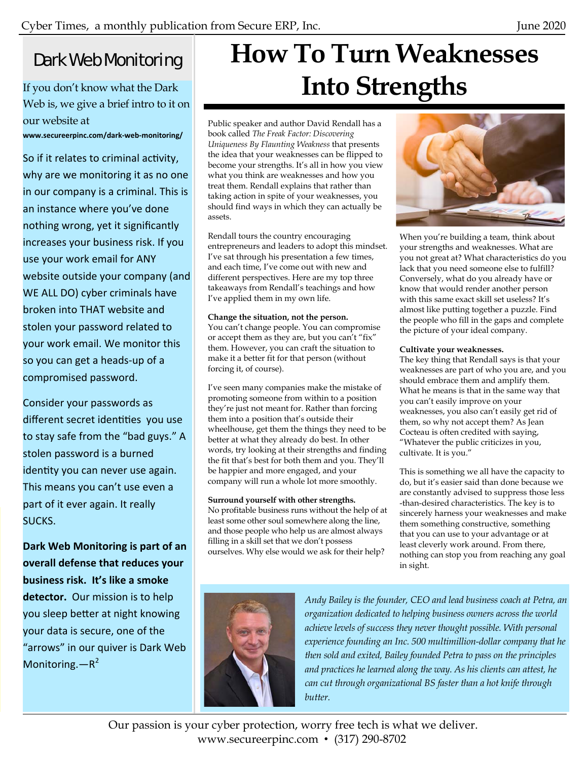## Dark Web Monitoring

If you don't know what the Dark Web is, we give a brief intro to it on our website at

**www.secureerpinc.com/dark‐web‐monitoring/**

So if it relates to criminal activity, why are we monitoring it as no one in our company is a criminal. This is an instance where you've done nothing wrong, yet it significantly increases your business risk. If you use your work email for ANY website outside your company (and WE ALL DO) cyber criminals have broken into THAT website and stolen your password related to your work email. We monitor this so you can get a heads‐up of a compromised password.

Consider your passwords as different secret identities you use to stay safe from the "bad guys." A stolen password is a burned identity you can never use again. This means you can't use even a part of it ever again. It really SUCKS.

**Dark Web Monitoring is part of an overall defense that reduces your business risk. It's like a smoke detector.** Our mission is to help you sleep better at night knowing your data is secure, one of the "arrows" in our quiver is Dark Web Monitoring. $-R^2$ 

# **How To Turn Weaknesses Into Strengths**

Public speaker and author David Rendall has a book called *The Freak Factor: Discovering Uniqueness By Flaunting Weakness* that presents the idea that your weaknesses can be flipped to become your strengths. It's all in how you view what you think are weaknesses and how you treat them. Rendall explains that rather than taking action in spite of your weaknesses, you should find ways in which they can actually be assets.

Rendall tours the country encouraging entrepreneurs and leaders to adopt this mindset. I've sat through his presentation a few times, and each time, I've come out with new and different perspectives. Here are my top three takeaways from Rendall's teachings and how I've applied them in my own life.

#### **Change the situation, not the person.**

You can't change people. You can compromise or accept them as they are, but you can't "fix" them. However, you can craft the situation to make it a better fit for that person (without forcing it, of course).

I've seen many companies make the mistake of promoting someone from within to a position they're just not meant for. Rather than forcing them into a position that's outside their wheelhouse, get them the things they need to be better at what they already do best. In other words, try looking at their strengths and finding the fit that's best for both them and you. They'll be happier and more engaged, and your company will run a whole lot more smoothly.

#### **Surround yourself with other strengths.**

No profitable business runs without the help of at least some other soul somewhere along the line, and those people who help us are almost always filling in a skill set that we don't possess ourselves. Why else would we ask for their help?



When you're building a team, think about your strengths and weaknesses. What are you not great at? What characteristics do you lack that you need someone else to fulfill? Conversely, what do you already have or know that would render another person with this same exact skill set useless? It's almost like putting together a puzzle. Find the people who fill in the gaps and complete the picture of your ideal company.

#### **Cultivate your weaknesses.**

The key thing that Rendall says is that your weaknesses are part of who you are, and you should embrace them and amplify them. What he means is that in the same way that you can't easily improve on your weaknesses, you also can't easily get rid of them, so why not accept them? As Jean Cocteau is often credited with saying, "Whatever the public criticizes in you, cultivate. It is you."

This is something we all have the capacity to do, but it's easier said than done because we are constantly advised to suppress those less -than-desired characteristics. The key is to sincerely harness your weaknesses and make them something constructive, something that you can use to your advantage or at least cleverly work around. From there, nothing can stop you from reaching any goal in sight.



*Andy Bailey is the founder, CEO and lead business coach at Petra, an organization dedicated to helping business owners across the world achieve levels of success they never thought possible. With personal experience founding an Inc. 500 multimillion-dollar company that he then sold and exited, Bailey founded Petra to pass on the principles and practices he learned along the way. As his clients can attest, he can cut through organizational BS faster than a hot knife through butter.* 

Our passion is your cyber protection, worry free tech is what we deliver. www.secureerpinc.com • (317) 290-8702